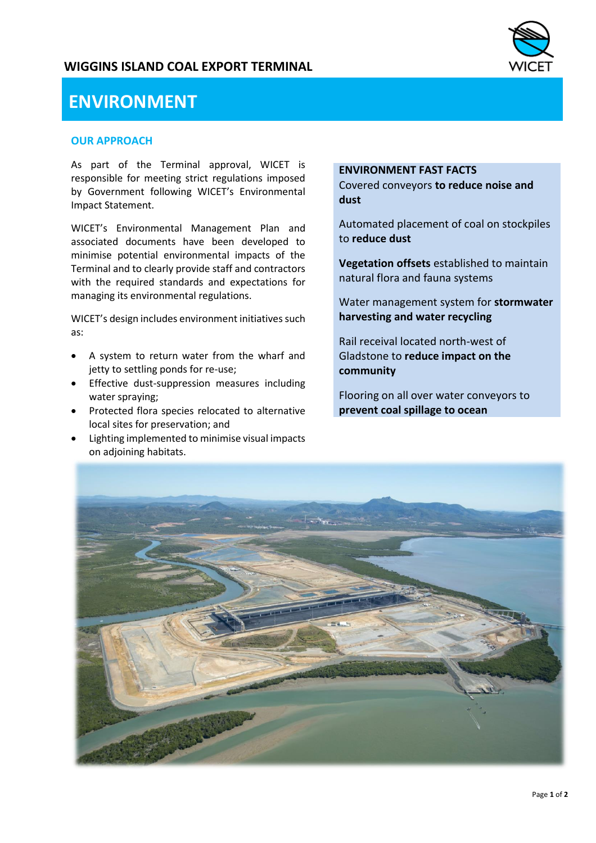# **WIGGINS ISLAND COAL EXPORT TERMINAL**



# **ENVIRONMENT**

#### **OUR APPROACH**

As part of the Terminal approval, WICET is responsible for meeting strict regulations imposed by Government following WICET's Environmental Impact Statement.

WICET's Environmental Management Plan and associated documents have been developed to minimise potential environmental impacts of the Terminal and to clearly provide staff and contractors with the required standards and expectations for managing its environmental regulations.

WICET's design includes environment initiatives such as:

- A system to return water from the wharf and jetty to settling ponds for re-use;
- Effective dust-suppression measures including water spraying;
- Protected flora species relocated to alternative local sites for preservation; and
- Lighting implemented to minimise visual impacts on adjoining habitats.

### **ENVIRONMENT FAST FACTS**

Covered conveyors **to reduce noise and dust**

Automated placement of coal on stockpiles to **reduce dust**

**Vegetation offsets** established to maintain natural flora and fauna systems

Water management system for **stormwater harvesting and water recycling**

Rail receival located north-west of Gladstone to **reduce impact on the community**

Flooring on all over water conveyors to **prevent coal spillage to ocean**